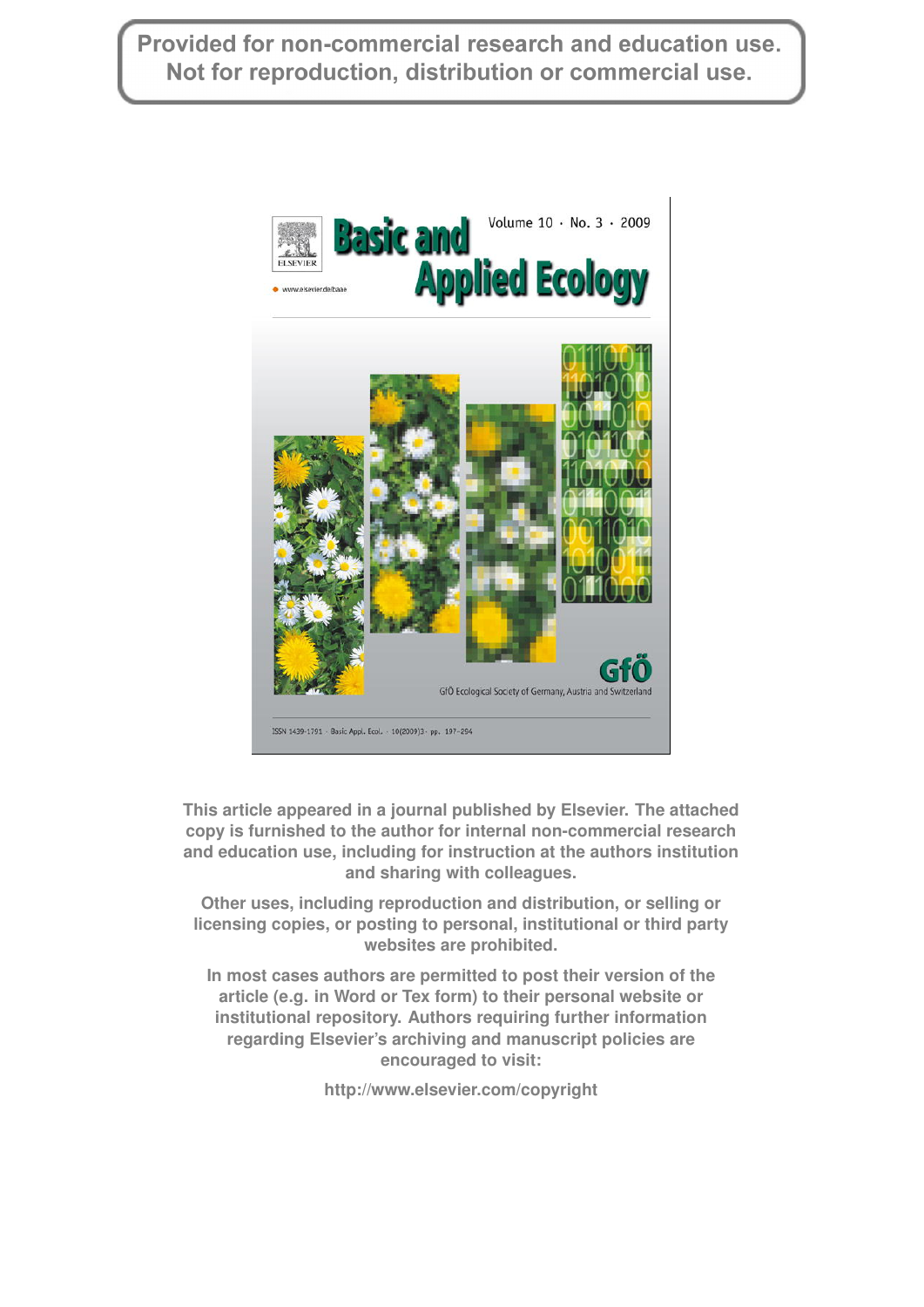Provided for non-commercial research and education use. Not for reproduction, distribution or commercial use.



This article appeared in a journal published by Elsevier. The attached **copy is furnished to the author for internal non-commercial research** copy is furnished to the author for internal non-commercial research<br>and education use, including for instruction at the authors institution **and sharing with colleagues.**

> **Other uses, including reproduction and distribution, or selling or licensing copies, or posting to personal, institutional or third party websites are prohibited.**

**In most cases authors are permitted to post their version of the article (e.g. in Word or Tex form) to their personal website or institutional repository. Authors requiring further information regarding Elsevier's archiving and manuscript policies are encouraged to visit:**

**<http://www.elsevier.com/copyright>**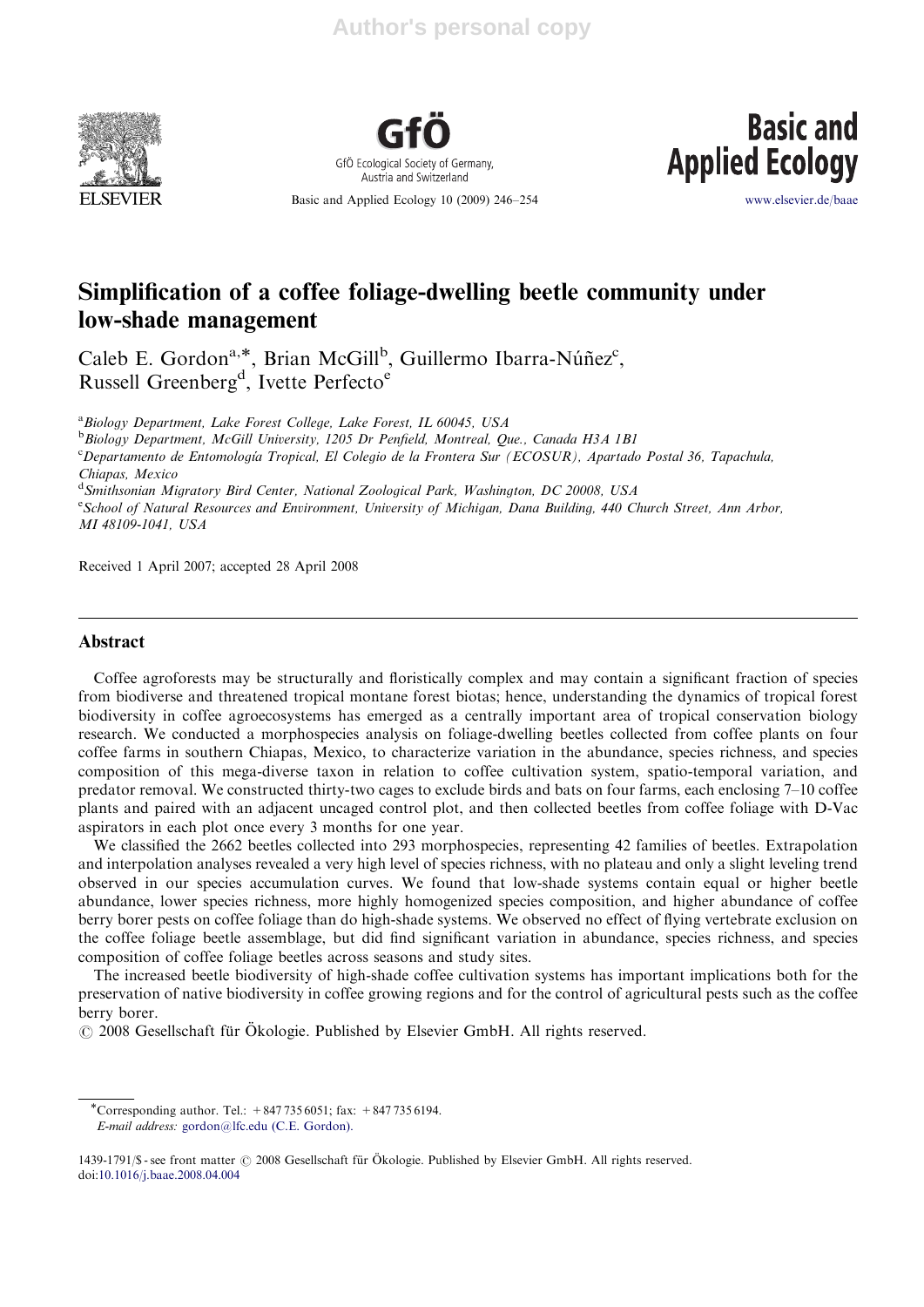



Basic and Applied Ecology 10 (2009) 246–254



www.elsevier.de/baae

# Simplification of a coffee foliage-dwelling beetle community under low-shade management

Caleb E. Gordon<sup>a,\*</sup>, Brian McGill<sup>b</sup>, Guillermo Ibarra-Núñez<sup>c</sup>, Russell Greenberg<sup>d</sup>, Ivette Perfecto<sup>e</sup>

<sup>a</sup> Biology Department, Lake Forest College, Lake Forest, IL 60045, USA

**b** Biology Department, McGill University, 1205 Dr Penfield, Montreal, Que., Canada H3A 1B1

<sup>c</sup>Departamento de Entomología Tropical, El Colegio de la Frontera Sur (ECOSUR), Apartado Postal 36, Tapachula, Chiapas, Mexico

<sup>d</sup> Smithsonian Migratory Bird Center, National Zoological Park, Washington, DC 20008, USA

e<br>School of Natural Resources and Environment, University of Michigan, Dana Building, 440 Church Street, Ann Arbor, MI 48109-1041, USA

Received 1 April 2007; accepted 28 April 2008

# Abstract

Coffee agroforests may be structurally and floristically complex and may contain a significant fraction of species from biodiverse and threatened tropical montane forest biotas; hence, understanding the dynamics of tropical forest biodiversity in coffee agroecosystems has emerged as a centrally important area of tropical conservation biology research. We conducted a morphospecies analysis on foliage-dwelling beetles collected from coffee plants on four coffee farms in southern Chiapas, Mexico, to characterize variation in the abundance, species richness, and species composition of this mega-diverse taxon in relation to coffee cultivation system, spatio-temporal variation, and predator removal. We constructed thirty-two cages to exclude birds and bats on four farms, each enclosing 7–10 coffee plants and paired with an adjacent uncaged control plot, and then collected beetles from coffee foliage with D-Vac aspirators in each plot once every 3 months for one year.

We classified the 2662 beetles collected into 293 morphospecies, representing 42 families of beetles. Extrapolation and interpolation analyses revealed a very high level of species richness, with no plateau and only a slight leveling trend observed in our species accumulation curves. We found that low-shade systems contain equal or higher beetle abundance, lower species richness, more highly homogenized species composition, and higher abundance of coffee berry borer pests on coffee foliage than do high-shade systems. We observed no effect of flying vertebrate exclusion on the coffee foliage beetle assemblage, but did find significant variation in abundance, species richness, and species composition of coffee foliage beetles across seasons and study sites.

The increased beetle biodiversity of high-shade coffee cultivation systems has important implications both for the preservation of native biodiversity in coffee growing regions and for the control of agricultural pests such as the coffee berry borer.

© 2008 Gesellschaft für Ökologie. Published by Elsevier GmbH. All rights reserved.

<sup>-</sup>Corresponding author. Tel.: +847 735 6051; fax: +847 735 6194. E-mail address: gordon@lfc.edu (C.E. Gordon).

<sup>1439-1791/\$ -</sup> see front matter  $\odot$  2008 Gesellschaft für Ökologie. Published by Elsevier GmbH. All rights reserved. doi:10.1016/j.baae.2008.04.004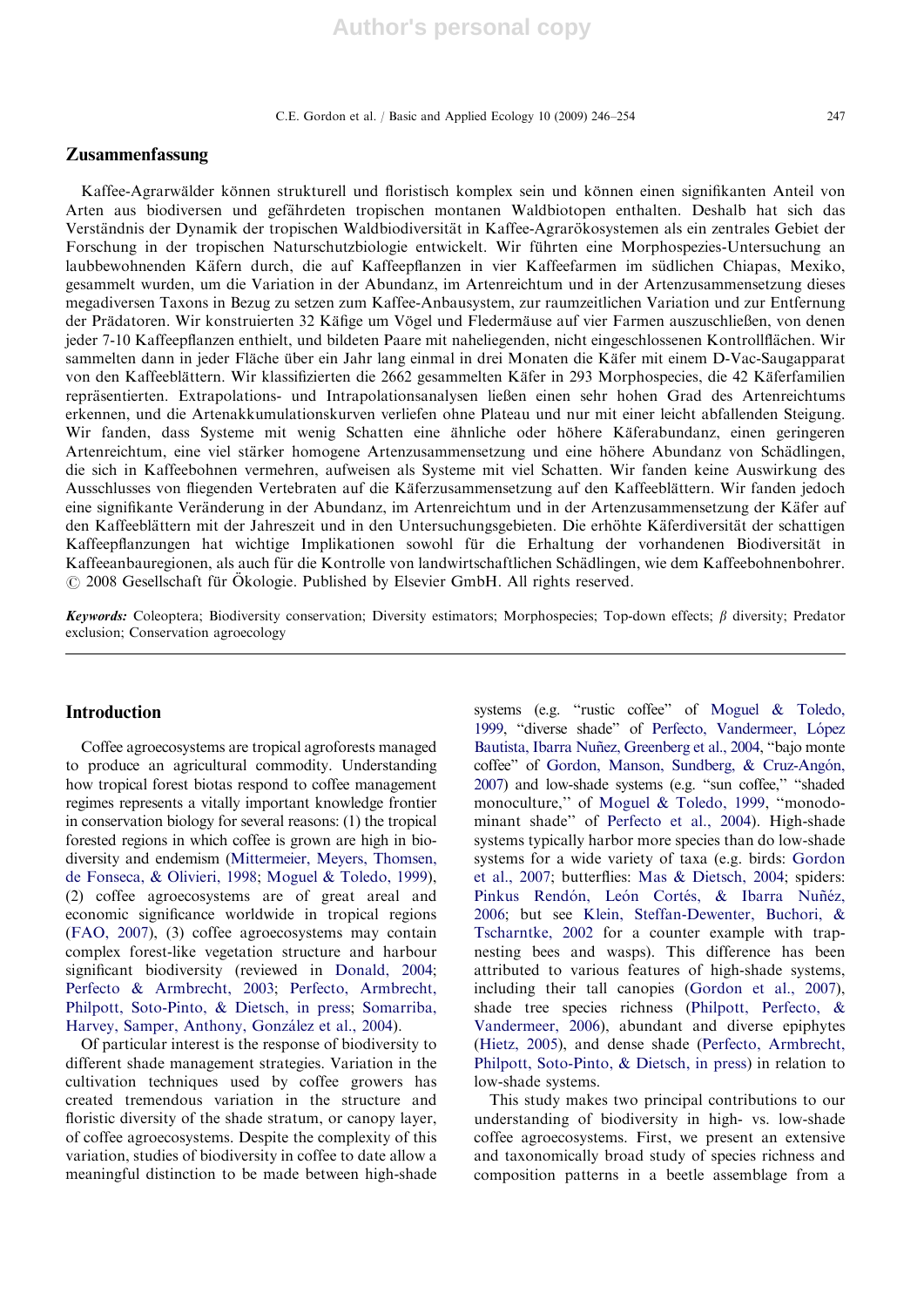C.E. Gordon et al. / Basic and Applied Ecology 10 (2009) 246–254 247

## Zusammenfassung

Kaffee-Agrarwälder können strukturell und floristisch komplex sein und können einen signifikanten Anteil von Arten aus biodiversen und gefährdeten tropischen montanen Waldbiotopen enthalten. Deshalb hat sich das Verständnis der Dynamik der tropischen Waldbiodiversität in Kaffee-Agrarokosystemen als ein zentrales Gebiet der Forschung in der tropischen Naturschutzbiologie entwickelt. Wir führten eine Morphospezies-Untersuchung an laubbewohnenden Käfern durch, die auf Kaffeepflanzen in vier Kaffeefarmen im südlichen Chiapas, Mexiko, gesammelt wurden, um die Variation in der Abundanz, im Artenreichtum und in der Artenzusammensetzung dieses megadiversen Taxons in Bezug zu setzen zum Kaffee-Anbausystem, zur raumzeitlichen Variation und zur Entfernung der Prädatoren. Wir konstruierten 32 Käfige um Vögel und Fledermäuse auf vier Farmen auszuschließen, von denen jeder 7-10 Kaffeepflanzen enthielt, und bildeten Paare mit naheliegenden, nicht eingeschlossenen Kontrollflächen. Wir sammelten dann in jeder Fläche über ein Jahr lang einmal in drei Monaten die Käfer mit einem D-Vac-Saugapparat von den Kaffeeblättern. Wir klassifizierten die 2662 gesammelten Käfer in 293 Morphospecies, die 42 Käferfamilien repra¨sentierten. Extrapolations- und Intrapolationsanalysen ließen einen sehr hohen Grad des Artenreichtums erkennen, und die Artenakkumulationskurven verliefen ohne Plateau und nur mit einer leicht abfallenden Steigung. Wir fanden, dass Systeme mit wenig Schatten eine ähnliche oder höhere Käferabundanz, einen geringeren Artenreichtum, eine viel stärker homogene Artenzusammensetzung und eine höhere Abundanz von Schädlingen, die sich in Kaffeebohnen vermehren, aufweisen als Systeme mit viel Schatten. Wir fanden keine Auswirkung des Ausschlusses von fliegenden Vertebraten auf die Käferzusammensetzung auf den Kaffeeblättern. Wir fanden jedoch eine signifikante Veränderung in der Abundanz, im Artenreichtum und in der Artenzusammensetzung der Käfer auf den Kaffeeblättern mit der Jahreszeit und in den Untersuchungsgebieten. Die erhöhte Käferdiversität der schattigen Kaffeepflanzungen hat wichtige Implikationen sowohl für die Erhaltung der vorhandenen Biodiversität in Kaffeeanbauregionen, als auch für die Kontrolle von landwirtschaftlichen Schädlingen, wie dem Kaffeebohnenbohrer. © 2008 Gesellschaft für Ökologie. Published by Elsevier GmbH. All rights reserved.

Keywords: Coleoptera; Biodiversity conservation; Diversity estimators; Morphospecies; Top-down effects;  $\beta$  diversity; Predator exclusion; Conservation agroecology

# Introduction

Coffee agroecosystems are tropical agroforests managed to produce an agricultural commodity. Understanding how tropical forest biotas respond to coffee management regimes represents a vitally important knowledge frontier in conservation biology for several reasons: (1) the tropical forested regions in which coffee is grown are high in biodiversity and endemism (Mittermeier, Meyers, Thomsen, de Fonseca, & Olivieri, 1998; Moguel & Toledo, 1999), (2) coffee agroecosystems are of great areal and economic significance worldwide in tropical regions (FAO, 2007), (3) coffee agroecosystems may contain complex forest-like vegetation structure and harbour significant biodiversity (reviewed in Donald, 2004; Perfecto & Armbrecht, 2003; Perfecto, Armbrecht, Philpott, Soto-Pinto, & Dietsch, in press; Somarriba, Harvey, Samper, Anthony, González et al., 2004).

Of particular interest is the response of biodiversity to different shade management strategies. Variation in the cultivation techniques used by coffee growers has created tremendous variation in the structure and floristic diversity of the shade stratum, or canopy layer, of coffee agroecosystems. Despite the complexity of this variation, studies of biodiversity in coffee to date allow a meaningful distinction to be made between high-shade

systems (e.g. "rustic coffee" of Moguel & Toledo, 1999, "diverse shade" of Perfecto, Vandermeer, López Bautista, Ibarra Nuñez, Greenberg et al., 2004, "bajo monte coffee" of Gordon, Manson, Sundberg, & Cruz-Angón, 2007) and low-shade systems (e.g. ''sun coffee,'' ''shaded monoculture,'' of Moguel & Toledo, 1999, ''monodominant shade'' of Perfecto et al., 2004). High-shade systems typically harbor more species than do low-shade systems for a wide variety of taxa (e.g. birds: Gordon et al., 2007; butterflies: Mas & Dietsch, 2004; spiders: Pinkus Rendón, León Cortés, & Ibarra Nuñéz, 2006; but see Klein, Steffan-Dewenter, Buchori, & Tscharntke, 2002 for a counter example with trapnesting bees and wasps). This difference has been attributed to various features of high-shade systems, including their tall canopies (Gordon et al., 2007), shade tree species richness (Philpott, Perfecto, & Vandermeer, 2006), abundant and diverse epiphytes (Hietz, 2005), and dense shade (Perfecto, Armbrecht, Philpott, Soto-Pinto, & Dietsch, in press) in relation to low-shade systems.

This study makes two principal contributions to our understanding of biodiversity in high- vs. low-shade coffee agroecosystems. First, we present an extensive and taxonomically broad study of species richness and composition patterns in a beetle assemblage from a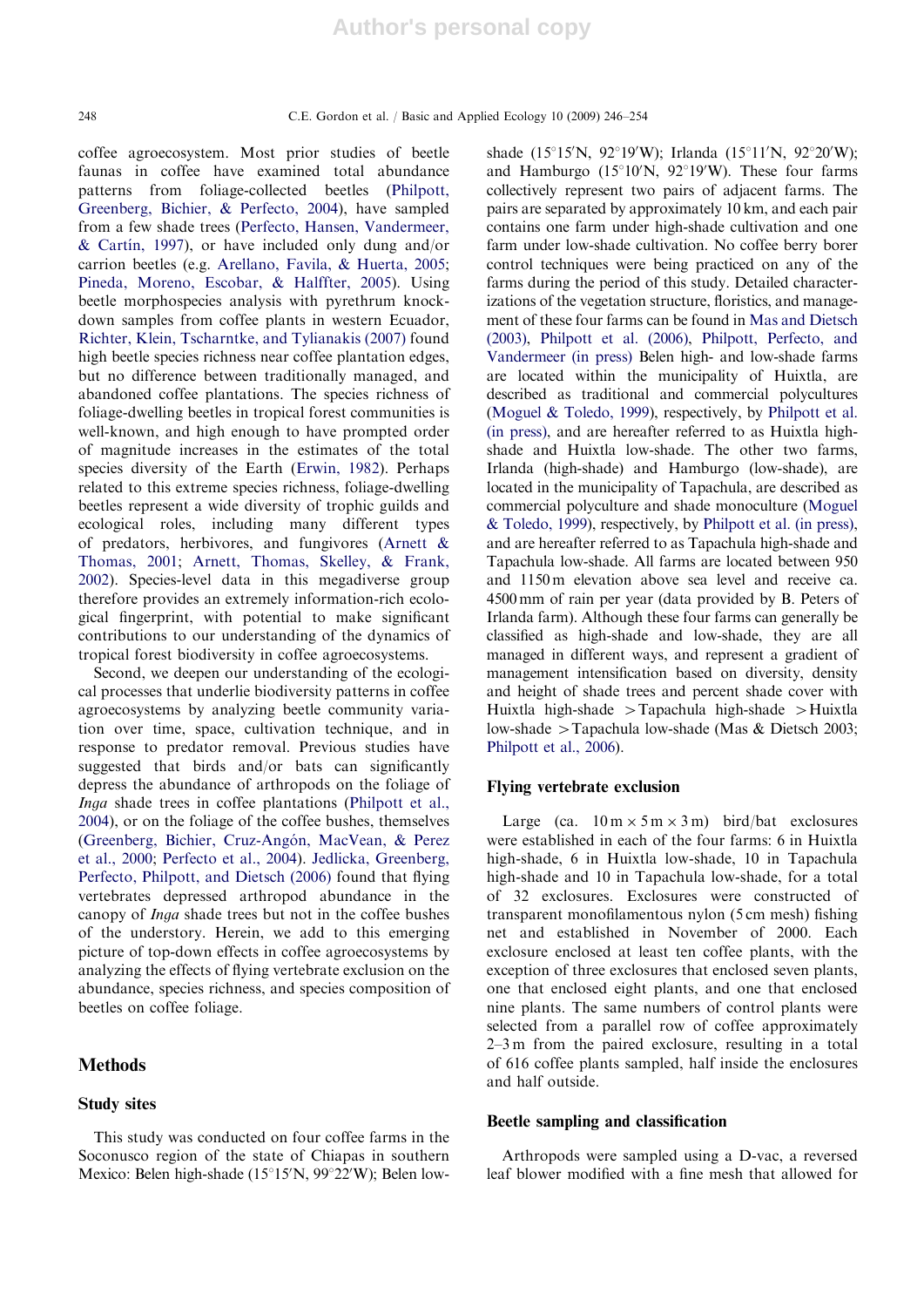coffee agroecosystem. Most prior studies of beetle faunas in coffee have examined total abundance patterns from foliage-collected beetles (Philpott, Greenberg, Bichier, & Perfecto, 2004), have sampled from a few shade trees (Perfecto, Hansen, Vandermeer, & Cartin, 1997), or have included only dung and/or carrion beetles (e.g. Arellano, Favila, & Huerta, 2005; Pineda, Moreno, Escobar, & Halffter, 2005). Using beetle morphospecies analysis with pyrethrum knockdown samples from coffee plants in western Ecuador, Richter, Klein, Tscharntke, and Tylianakis (2007) found high beetle species richness near coffee plantation edges, but no difference between traditionally managed, and abandoned coffee plantations. The species richness of foliage-dwelling beetles in tropical forest communities is well-known, and high enough to have prompted order of magnitude increases in the estimates of the total species diversity of the Earth (Erwin, 1982). Perhaps related to this extreme species richness, foliage-dwelling beetles represent a wide diversity of trophic guilds and ecological roles, including many different types of predators, herbivores, and fungivores (Arnett & Thomas, 2001; Arnett, Thomas, Skelley, & Frank, 2002). Species-level data in this megadiverse group therefore provides an extremely information-rich ecological fingerprint, with potential to make significant contributions to our understanding of the dynamics of tropical forest biodiversity in coffee agroecosystems.

Second, we deepen our understanding of the ecological processes that underlie biodiversity patterns in coffee agroecosystems by analyzing beetle community variation over time, space, cultivation technique, and in response to predator removal. Previous studies have suggested that birds and/or bats can significantly depress the abundance of arthropods on the foliage of Inga shade trees in coffee plantations (Philpott et al., 2004), or on the foliage of the coffee bushes, themselves (Greenberg, Bichier, Cruz-Angón, MacVean, & Perez et al., 2000; Perfecto et al., 2004). Jedlicka, Greenberg, Perfecto, Philpott, and Dietsch (2006) found that flying vertebrates depressed arthropod abundance in the canopy of Inga shade trees but not in the coffee bushes of the understory. Herein, we add to this emerging picture of top-down effects in coffee agroecosystems by analyzing the effects of flying vertebrate exclusion on the abundance, species richness, and species composition of beetles on coffee foliage.

#### **Methods**

#### Study sites

This study was conducted on four coffee farms in the Soconusco region of the state of Chiapas in southern Mexico: Belen high-shade (15°15'N, 99°22'W); Belen low-

shade (15°15'N, 92°19'W); Irlanda (15°11'N, 92°20'W); and Hamburgo ( $15^{\circ}10^{\prime}$ N,  $92^{\circ}19^{\prime}$ W). These four farms collectively represent two pairs of adjacent farms. The pairs are separated by approximately 10 km, and each pair contains one farm under high-shade cultivation and one farm under low-shade cultivation. No coffee berry borer control techniques were being practiced on any of the farms during the period of this study. Detailed characterizations of the vegetation structure, floristics, and management of these four farms can be found in Mas and Dietsch (2003), Philpott et al. (2006), Philpott, Perfecto, and Vandermeer (in press) Belen high- and low-shade farms are located within the municipality of Huixtla, are described as traditional and commercial polycultures (Moguel & Toledo, 1999), respectively, by Philpott et al. (in press), and are hereafter referred to as Huixtla highshade and Huixtla low-shade. The other two farms, Irlanda (high-shade) and Hamburgo (low-shade), are located in the municipality of Tapachula, are described as commercial polyculture and shade monoculture (Moguel & Toledo, 1999), respectively, by Philpott et al. (in press), and are hereafter referred to as Tapachula high-shade and Tapachula low-shade. All farms are located between 950 and 1150 m elevation above sea level and receive ca. 4500 mm of rain per year (data provided by B. Peters of Irlanda farm). Although these four farms can generally be classified as high-shade and low-shade, they are all managed in different ways, and represent a gradient of management intensification based on diversity, density and height of shade trees and percent shade cover with Huixtla high-shade  $\geq$ Tapachula high-shade  $\geq$ Huixtla low-shade  $\geq$ Tapachula low-shade (Mas & Dietsch 2003; Philpott et al., 2006).

#### Flying vertebrate exclusion

Large (ca.  $10 \text{ m} \times 5 \text{ m} \times 3 \text{ m}$ ) bird/bat exclosures were established in each of the four farms: 6 in Huixtla high-shade, 6 in Huixtla low-shade, 10 in Tapachula high-shade and 10 in Tapachula low-shade, for a total of 32 exclosures. Exclosures were constructed of transparent monofilamentous nylon (5 cm mesh) fishing net and established in November of 2000. Each exclosure enclosed at least ten coffee plants, with the exception of three exclosures that enclosed seven plants, one that enclosed eight plants, and one that enclosed nine plants. The same numbers of control plants were selected from a parallel row of coffee approximately 2–3 m from the paired exclosure, resulting in a total of 616 coffee plants sampled, half inside the enclosures and half outside.

### Beetle sampling and classification

Arthropods were sampled using a D-vac, a reversed leaf blower modified with a fine mesh that allowed for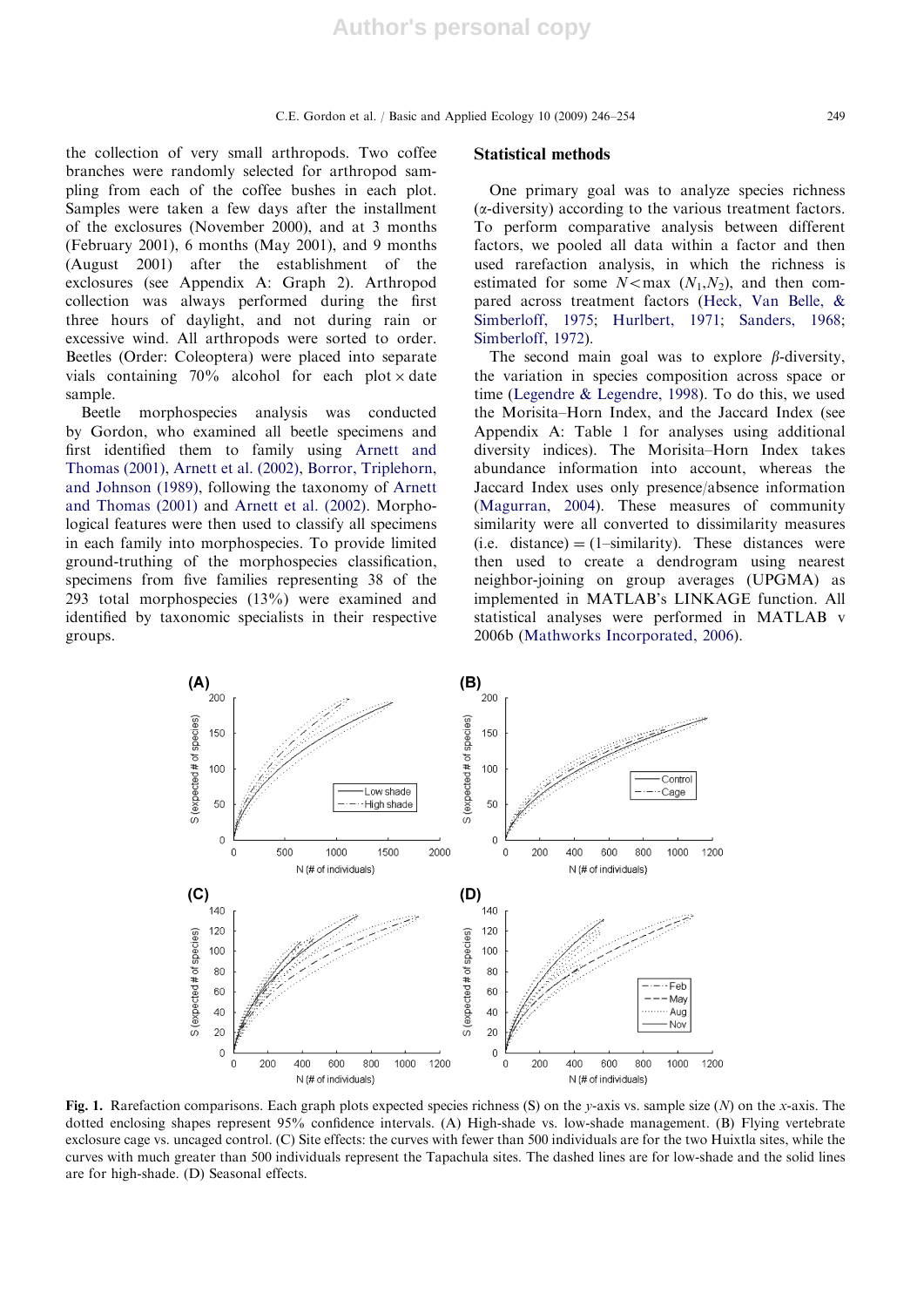the collection of very small arthropods. Two coffee branches were randomly selected for arthropod sampling from each of the coffee bushes in each plot. Samples were taken a few days after the installment of the exclosures (November 2000), and at 3 months (February 2001), 6 months (May 2001), and 9 months (August 2001) after the establishment of the exclosures (see Appendix A: Graph 2). Arthropod collection was always performed during the first three hours of daylight, and not during rain or excessive wind. All arthropods were sorted to order. Beetles (Order: Coleoptera) were placed into separate vials containing  $70\%$  alcohol for each plot  $\times$  date sample.

Beetle morphospecies analysis was conducted by Gordon, who examined all beetle specimens and first identified them to family using Arnett and Thomas (2001), Arnett et al. (2002), Borror, Triplehorn, and Johnson (1989), following the taxonomy of Arnett and Thomas (2001) and Arnett et al. (2002). Morphological features were then used to classify all specimens in each family into morphospecies. To provide limited ground-truthing of the morphospecies classification, specimens from five families representing 38 of the 293 total morphospecies (13%) were examined and identified by taxonomic specialists in their respective groups.

#### Statistical methods

One primary goal was to analyze species richness  $(\alpha$ -diversity) according to the various treatment factors. To perform comparative analysis between different factors, we pooled all data within a factor and then used rarefaction analysis, in which the richness is estimated for some  $N < \max(N_1, N_2)$ , and then compared across treatment factors (Heck, Van Belle, & Simberloff, 1975; Hurlbert, 1971; Sanders, 1968; Simberloff, 1972).

The second main goal was to explore  $\beta$ -diversity, the variation in species composition across space or time (Legendre & Legendre, 1998). To do this, we used the Morisita–Horn Index, and the Jaccard Index (see Appendix A: Table 1 for analyses using additional diversity indices). The Morisita–Horn Index takes abundance information into account, whereas the Jaccard Index uses only presence/absence information (Magurran, 2004). These measures of community similarity were all converted to dissimilarity measures (i.e. distance)  $=$  (1–similarity). These distances were then used to create a dendrogram using nearest neighbor-joining on group averages (UPGMA) as implemented in MATLAB's LINKAGE function. All statistical analyses were performed in MATLAB v 2006b (Mathworks Incorporated, 2006).



Fig. 1. Rarefaction comparisons. Each graph plots expected species richness (S) on the y-axis vs. sample size (N) on the x-axis. The dotted enclosing shapes represent 95% confidence intervals. (A) High-shade vs. low-shade management. (B) Flying vertebrate exclosure cage vs. uncaged control. (C) Site effects: the curves with fewer than 500 individuals are for the two Huixtla sites, while the curves with much greater than 500 individuals represent the Tapachula sites. The dashed lines are for low-shade and the solid lines are for high-shade. (D) Seasonal effects.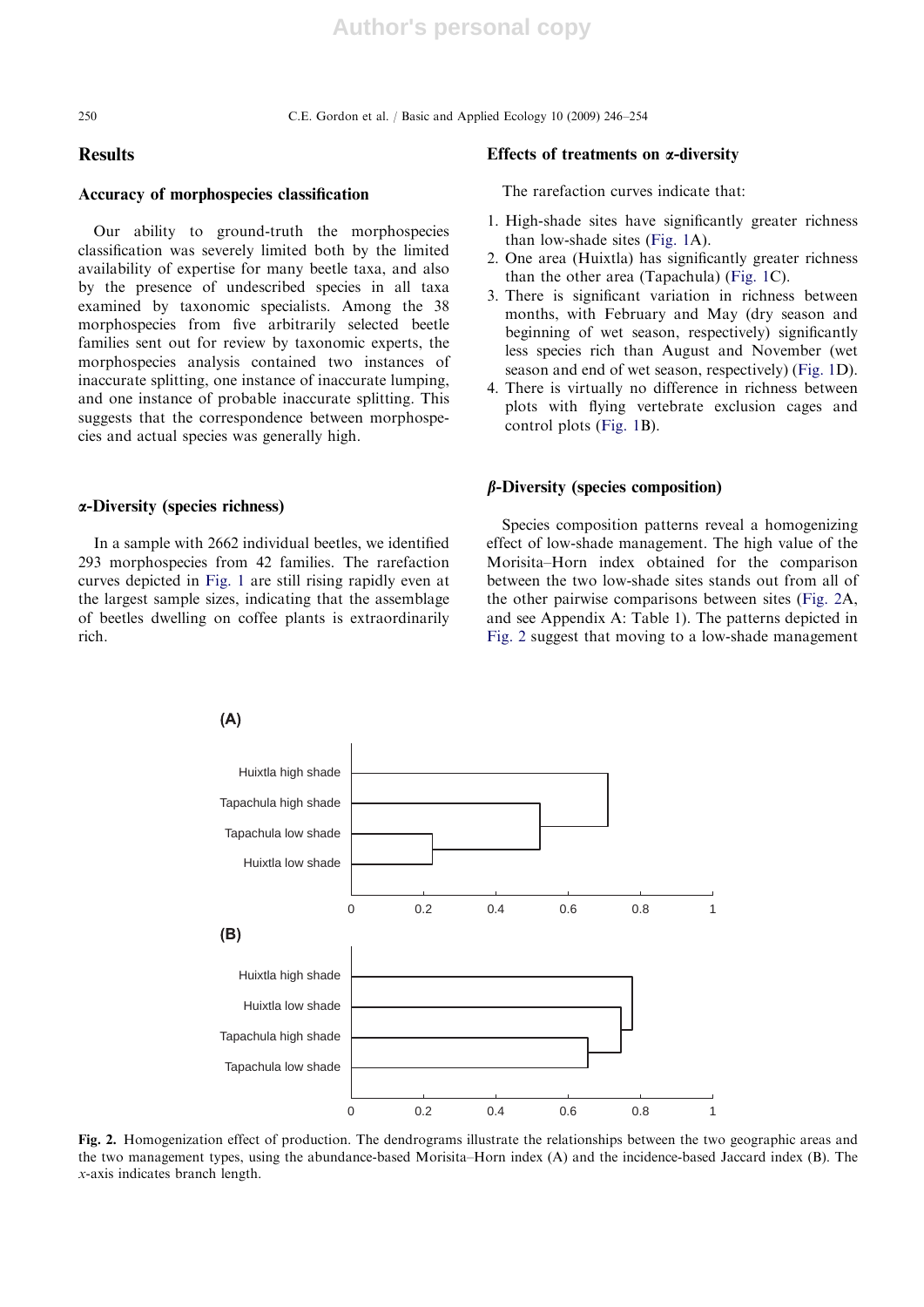250 C.E. Gordon et al. / Basic and Applied Ecology 10 (2009) 246–254

# **Results**

#### Accuracy of morphospecies classification

Our ability to ground-truth the morphospecies classification was severely limited both by the limited availability of expertise for many beetle taxa, and also by the presence of undescribed species in all taxa examined by taxonomic specialists. Among the 38 morphospecies from five arbitrarily selected beetle families sent out for review by taxonomic experts, the morphospecies analysis contained two instances of inaccurate splitting, one instance of inaccurate lumping, and one instance of probable inaccurate splitting. This suggests that the correspondence between morphospecies and actual species was generally high.

## a-Diversity (species richness)

In a sample with 2662 individual beetles, we identified 293 morphospecies from 42 families. The rarefaction curves depicted in Fig. 1 are still rising rapidly even at the largest sample sizes, indicating that the assemblage of beetles dwelling on coffee plants is extraordinarily rich.

#### Effects of treatments on  $\alpha$ -diversity

The rarefaction curves indicate that:

- 1. High-shade sites have significantly greater richness than low-shade sites (Fig. 1A).
- 2. One area (Huixtla) has significantly greater richness than the other area (Tapachula) (Fig. 1C).
- 3. There is significant variation in richness between months, with February and May (dry season and beginning of wet season, respectively) significantly less species rich than August and November (wet season and end of wet season, respectively) (Fig. 1D).
- 4. There is virtually no difference in richness between plots with flying vertebrate exclusion cages and control plots (Fig. 1B).

### $\beta$ -Diversity (species composition)

Species composition patterns reveal a homogenizing effect of low-shade management. The high value of the Morisita–Horn index obtained for the comparison between the two low-shade sites stands out from all of the other pairwise comparisons between sites (Fig. 2A, and see Appendix A: Table 1). The patterns depicted in Fig. 2 suggest that moving to a low-shade management



Fig. 2. Homogenization effect of production. The dendrograms illustrate the relationships between the two geographic areas and the two management types, using the abundance-based Morisita–Horn index (A) and the incidence-based Jaccard index (B). The x-axis indicates branch length.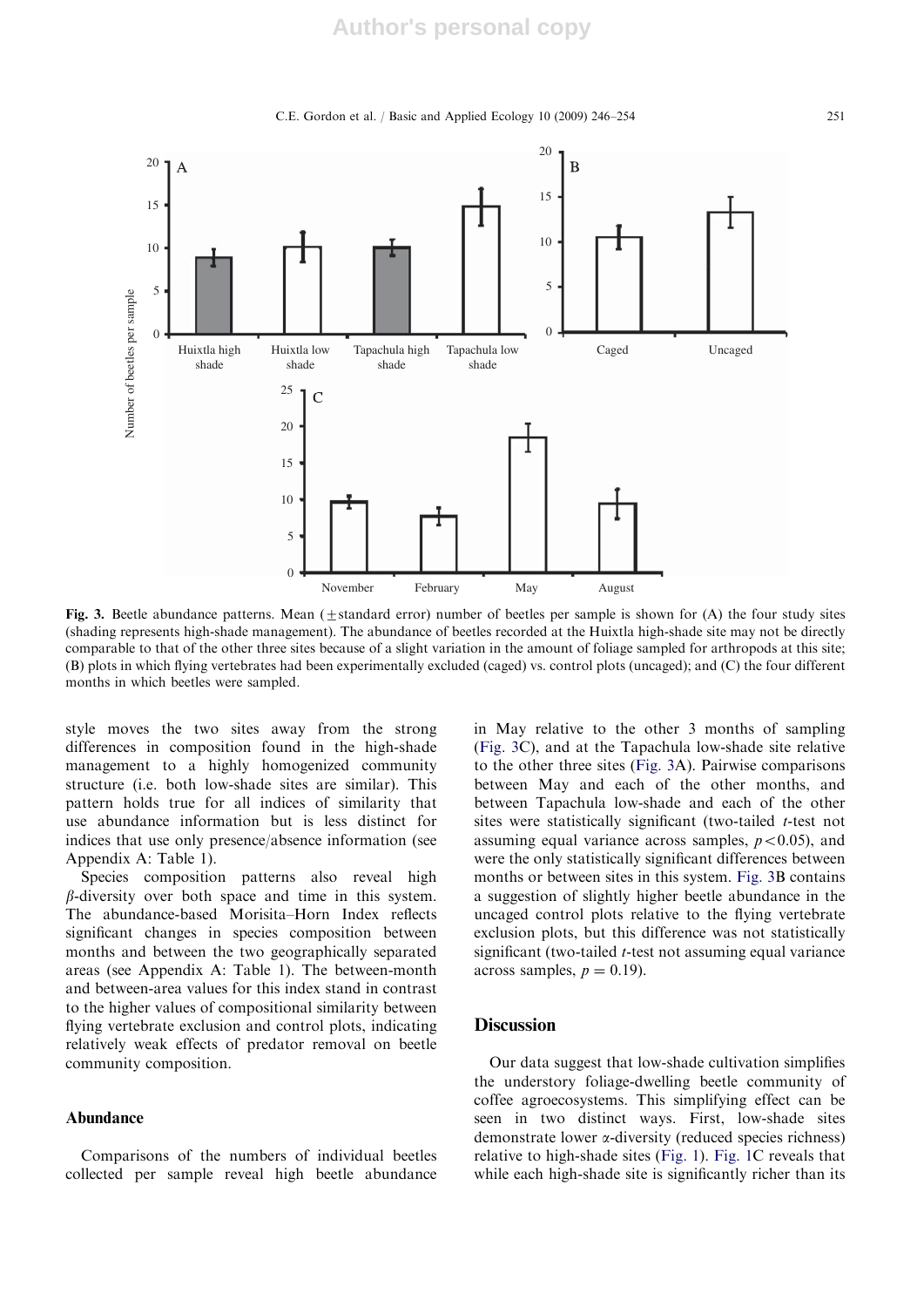C.E. Gordon et al. / Basic and Applied Ecology 10 (2009) 246–254 251



Fig. 3. Beetle abundance patterns. Mean  $(\pm$ standard error) number of beetles per sample is shown for (A) the four study sites (shading represents high-shade management). The abundance of beetles recorded at the Huixtla high-shade site may not be directly comparable to that of the other three sites because of a slight variation in the amount of foliage sampled for arthropods at this site; (B) plots in which flying vertebrates had been experimentally excluded (caged) vs. control plots (uncaged); and (C) the four different months in which beetles were sampled.

style moves the two sites away from the strong differences in composition found in the high-shade management to a highly homogenized community structure (i.e. both low-shade sites are similar). This pattern holds true for all indices of similarity that use abundance information but is less distinct for indices that use only presence/absence information (see Appendix A: Table 1).

Species composition patterns also reveal high  $\beta$ -diversity over both space and time in this system. The abundance-based Morisita–Horn Index reflects significant changes in species composition between months and between the two geographically separated areas (see Appendix A: Table 1). The between-month and between-area values for this index stand in contrast to the higher values of compositional similarity between flying vertebrate exclusion and control plots, indicating relatively weak effects of predator removal on beetle community composition.

### Abundance

Comparisons of the numbers of individual beetles collected per sample reveal high beetle abundance in May relative to the other 3 months of sampling (Fig. 3C), and at the Tapachula low-shade site relative to the other three sites (Fig. 3A). Pairwise comparisons between May and each of the other months, and between Tapachula low-shade and each of the other sites were statistically significant (two-tailed  $t$ -test not assuming equal variance across samples,  $p < 0.05$ ), and were the only statistically significant differences between months or between sites in this system. Fig. 3B contains a suggestion of slightly higher beetle abundance in the uncaged control plots relative to the flying vertebrate exclusion plots, but this difference was not statistically significant (two-tailed *t*-test not assuming equal variance across samples,  $p = 0.19$ ).

## **Discussion**

Our data suggest that low-shade cultivation simplifies the understory foliage-dwelling beetle community of coffee agroecosystems. This simplifying effect can be seen in two distinct ways. First, low-shade sites demonstrate lower a-diversity (reduced species richness) relative to high-shade sites (Fig. 1). Fig. 1C reveals that while each high-shade site is significantly richer than its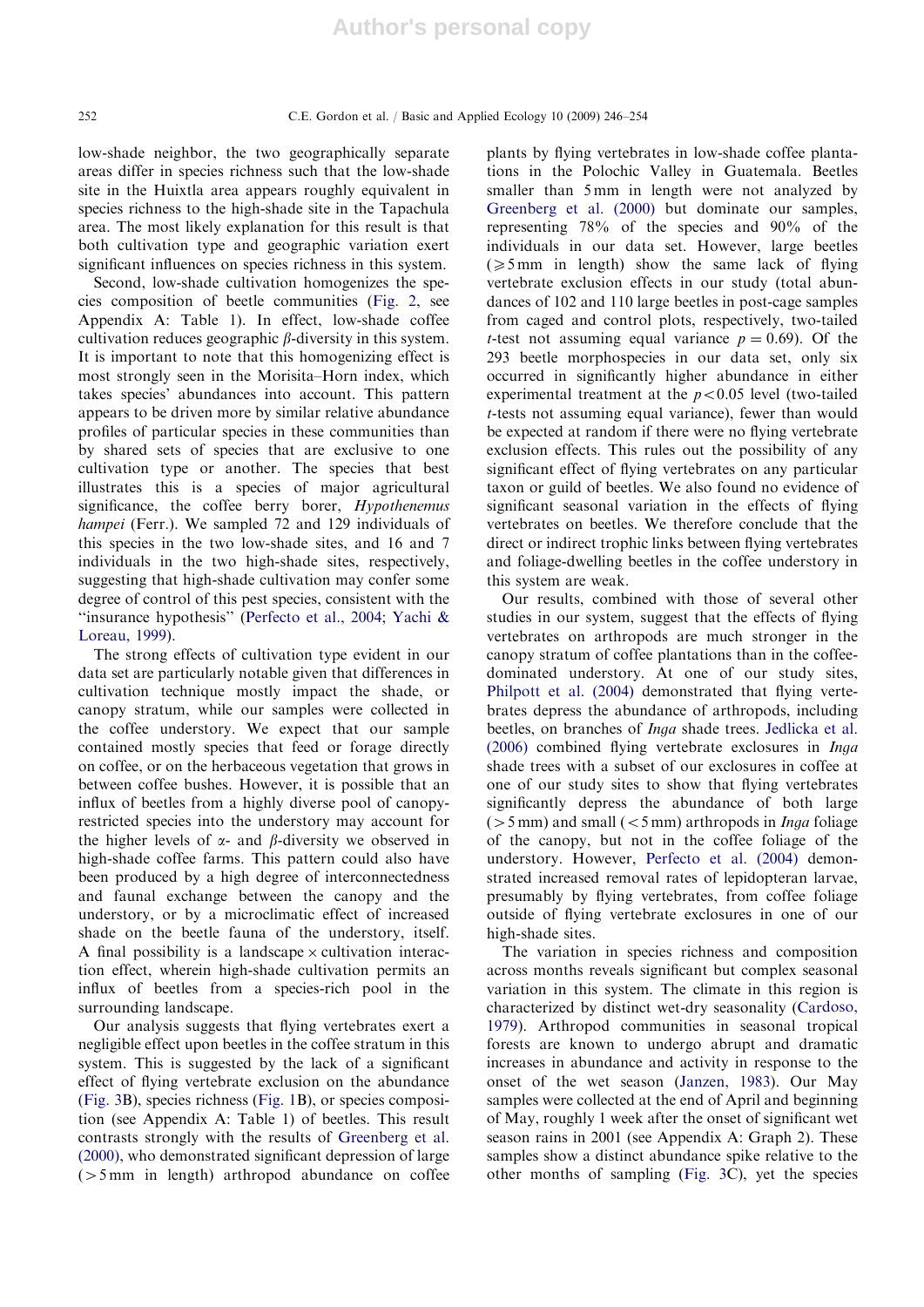low-shade neighbor, the two geographically separate areas differ in species richness such that the low-shade site in the Huixtla area appears roughly equivalent in species richness to the high-shade site in the Tapachula area. The most likely explanation for this result is that both cultivation type and geographic variation exert significant influences on species richness in this system.

Second, low-shade cultivation homogenizes the species composition of beetle communities (Fig. 2, see Appendix A: Table 1). In effect, low-shade coffee cultivation reduces geographic  $\beta$ -diversity in this system. It is important to note that this homogenizing effect is most strongly seen in the Morisita–Horn index, which takes species' abundances into account. This pattern appears to be driven more by similar relative abundance profiles of particular species in these communities than by shared sets of species that are exclusive to one cultivation type or another. The species that best illustrates this is a species of major agricultural significance, the coffee berry borer, Hypothenemus hampei (Ferr.). We sampled 72 and 129 individuals of this species in the two low-shade sites, and 16 and 7 individuals in the two high-shade sites, respectively, suggesting that high-shade cultivation may confer some degree of control of this pest species, consistent with the ''insurance hypothesis'' (Perfecto et al., 2004; Yachi & Loreau, 1999).

The strong effects of cultivation type evident in our data set are particularly notable given that differences in cultivation technique mostly impact the shade, or canopy stratum, while our samples were collected in the coffee understory. We expect that our sample contained mostly species that feed or forage directly on coffee, or on the herbaceous vegetation that grows in between coffee bushes. However, it is possible that an influx of beetles from a highly diverse pool of canopyrestricted species into the understory may account for the higher levels of  $\alpha$ - and  $\beta$ -diversity we observed in high-shade coffee farms. This pattern could also have been produced by a high degree of interconnectedness and faunal exchange between the canopy and the understory, or by a microclimatic effect of increased shade on the beetle fauna of the understory, itself. A final possibility is a landscape  $\times$  cultivation interaction effect, wherein high-shade cultivation permits an influx of beetles from a species-rich pool in the surrounding landscape.

Our analysis suggests that flying vertebrates exert a negligible effect upon beetles in the coffee stratum in this system. This is suggested by the lack of a significant effect of flying vertebrate exclusion on the abundance (Fig. 3B), species richness (Fig. 1B), or species composition (see Appendix A: Table 1) of beetles. This result contrasts strongly with the results of Greenberg et al. (2000), who demonstrated significant depression of large  $(55 \text{ mm}$  in length) arthropod abundance on coffee plants by flying vertebrates in low-shade coffee plantations in the Polochic Valley in Guatemala. Beetles smaller than 5 mm in length were not analyzed by Greenberg et al. (2000) but dominate our samples, representing 78% of the species and 90% of the individuals in our data set. However, large beetles  $(\geq 5 \text{ mm}$  in length) show the same lack of flying vertebrate exclusion effects in our study (total abundances of 102 and 110 large beetles in post-cage samples from caged and control plots, respectively, two-tailed *t*-test not assuming equal variance  $p = 0.69$ . Of the 293 beetle morphospecies in our data set, only six occurred in significantly higher abundance in either experimental treatment at the  $p < 0.05$  level (two-tailed t-tests not assuming equal variance), fewer than would be expected at random if there were no flying vertebrate exclusion effects. This rules out the possibility of any significant effect of flying vertebrates on any particular taxon or guild of beetles. We also found no evidence of significant seasonal variation in the effects of flying vertebrates on beetles. We therefore conclude that the direct or indirect trophic links between flying vertebrates and foliage-dwelling beetles in the coffee understory in this system are weak.

Our results, combined with those of several other studies in our system, suggest that the effects of flying vertebrates on arthropods are much stronger in the canopy stratum of coffee plantations than in the coffeedominated understory. At one of our study sites, Philpott et al. (2004) demonstrated that flying vertebrates depress the abundance of arthropods, including beetles, on branches of Inga shade trees. Jedlicka et al. (2006) combined flying vertebrate exclosures in Inga shade trees with a subset of our exclosures in coffee at one of our study sites to show that flying vertebrates significantly depress the abundance of both large  $(5 mm)$  and small  $(< 5 mm)$  arthropods in *Inga* foliage of the canopy, but not in the coffee foliage of the understory. However, Perfecto et al. (2004) demonstrated increased removal rates of lepidopteran larvae, presumably by flying vertebrates, from coffee foliage outside of flying vertebrate exclosures in one of our high-shade sites.

The variation in species richness and composition across months reveals significant but complex seasonal variation in this system. The climate in this region is characterized by distinct wet-dry seasonality (Cardoso, 1979). Arthropod communities in seasonal tropical forests are known to undergo abrupt and dramatic increases in abundance and activity in response to the onset of the wet season (Janzen, 1983). Our May samples were collected at the end of April and beginning of May, roughly 1 week after the onset of significant wet season rains in 2001 (see Appendix A: Graph 2). These samples show a distinct abundance spike relative to the other months of sampling (Fig. 3C), yet the species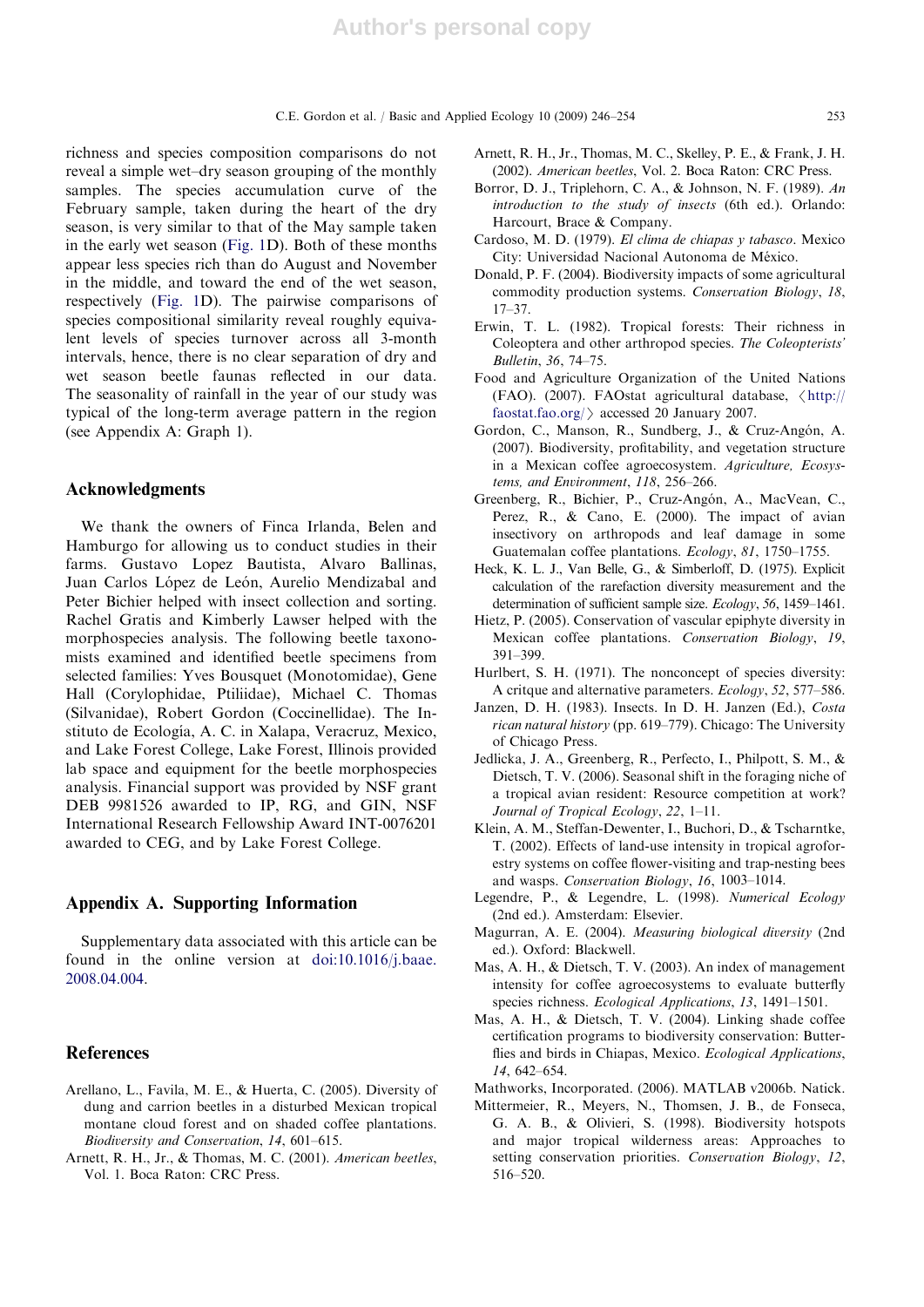richness and species composition comparisons do not reveal a simple wet–dry season grouping of the monthly samples. The species accumulation curve of the February sample, taken during the heart of the dry season, is very similar to that of the May sample taken in the early wet season (Fig. 1D). Both of these months appear less species rich than do August and November in the middle, and toward the end of the wet season, respectively (Fig. 1D). The pairwise comparisons of species compositional similarity reveal roughly equivalent levels of species turnover across all 3-month intervals, hence, there is no clear separation of dry and wet season beetle faunas reflected in our data. The seasonality of rainfall in the year of our study was typical of the long-term average pattern in the region (see Appendix A: Graph 1).

## Acknowledgments

We thank the owners of Finca Irlanda, Belen and Hamburgo for allowing us to conduct studies in their farms. Gustavo Lopez Bautista, Alvaro Ballinas, Juan Carlos López de León, Aurelio Mendizabal and Peter Bichier helped with insect collection and sorting. Rachel Gratis and Kimberly Lawser helped with the morphospecies analysis. The following beetle taxonomists examined and identified beetle specimens from selected families: Yves Bousquet (Monotomidae), Gene Hall (Corylophidae, Ptiliidae), Michael C. Thomas (Silvanidae), Robert Gordon (Coccinellidae). The Instituto de Ecología, A. C. in Xalapa, Veracruz, Mexico, and Lake Forest College, Lake Forest, Illinois provided lab space and equipment for the beetle morphospecies analysis. Financial support was provided by NSF grant DEB 9981526 awarded to IP, RG, and GIN, NSF International Research Fellowship Award INT-0076201 awarded to CEG, and by Lake Forest College.

## Appendix A. Supporting Information

Supplementary data associated with this article can be found in the online version at doi:10.1016/j.baae. 2008.04.004.

# References

- Arellano, L., Favila, M. E., & Huerta, C. (2005). Diversity of dung and carrion beetles in a disturbed Mexican tropical montane cloud forest and on shaded coffee plantations. Biodiversity and Conservation, 14, 601–615.
- Arnett, R. H., Jr., & Thomas, M. C. (2001). American beetles, Vol. 1. Boca Raton: CRC Press.
- Arnett, R. H., Jr., Thomas, M. C., Skelley, P. E., & Frank, J. H. (2002). American beetles, Vol. 2. Boca Raton: CRC Press.
- Borror, D. J., Triplehorn, C. A., & Johnson, N. F. (1989). An introduction to the study of insects (6th ed.). Orlando: Harcourt, Brace & Company.
- Cardoso, M. D. (1979). El clima de chiapas y tabasco. Mexico City: Universidad Nacional Autonoma de México.
- Donald, P. F. (2004). Biodiversity impacts of some agricultural commodity production systems. Conservation Biology, 18, 17–37.
- Erwin, T. L. (1982). Tropical forests: Their richness in Coleoptera and other arthropod species. The Coleopterists' Bulletin, 36, 74–75.
- Food and Agriculture Organization of the United Nations (FAO). (2007). FAOstat agricultural database,  $\langle \text{http://}$ faostat.fao.org/ $\rangle$  accessed 20 January 2007.
- Gordon, C., Manson, R., Sundberg, J., & Cruz-Angón, A. (2007). Biodiversity, profitability, and vegetation structure in a Mexican coffee agroecosystem. Agriculture, Ecosystems, and Environment, 118, 256–266.
- Greenberg, R., Bichier, P., Cruz-Angón, A., MacVean, C., Perez, R., & Cano, E. (2000). The impact of avian insectivory on arthropods and leaf damage in some Guatemalan coffee plantations. Ecology, 81, 1750–1755.
- Heck, K. L. J., Van Belle, G., & Simberloff, D. (1975). Explicit calculation of the rarefaction diversity measurement and the determination of sufficient sample size. Ecology, 56, 1459–1461.
- Hietz, P. (2005). Conservation of vascular epiphyte diversity in Mexican coffee plantations. Conservation Biology, 19, 391–399.
- Hurlbert, S. H. (1971). The nonconcept of species diversity: A critque and alternative parameters. Ecology, 52, 577–586.
- Janzen, D. H. (1983). Insects. In D. H. Janzen (Ed.), Costa rican natural history (pp. 619–779). Chicago: The University of Chicago Press.
- Jedlicka, J. A., Greenberg, R., Perfecto, I., Philpott, S. M., & Dietsch, T. V. (2006). Seasonal shift in the foraging niche of a tropical avian resident: Resource competition at work? Journal of Tropical Ecology, 22, 1–11.
- Klein, A. M., Steffan-Dewenter, I., Buchori, D., & Tscharntke, T. (2002). Effects of land-use intensity in tropical agroforestry systems on coffee flower-visiting and trap-nesting bees and wasps. Conservation Biology, 16, 1003–1014.
- Legendre, P., & Legendre, L. (1998). Numerical Ecology (2nd ed.). Amsterdam: Elsevier.
- Magurran, A. E. (2004). Measuring biological diversity (2nd ed.). Oxford: Blackwell.
- Mas, A. H., & Dietsch, T. V. (2003). An index of management intensity for coffee agroecosystems to evaluate butterfly species richness. Ecological Applications, 13, 1491-1501.
- Mas, A. H., & Dietsch, T. V. (2004). Linking shade coffee certification programs to biodiversity conservation: Butterflies and birds in Chiapas, Mexico. Ecological Applications, 14, 642–654.
- Mathworks, Incorporated. (2006). MATLAB v2006b. Natick.
- Mittermeier, R., Meyers, N., Thomsen, J. B., de Fonseca, G. A. B., & Olivieri, S. (1998). Biodiversity hotspots and major tropical wilderness areas: Approaches to setting conservation priorities. Conservation Biology, 12, 516–520.